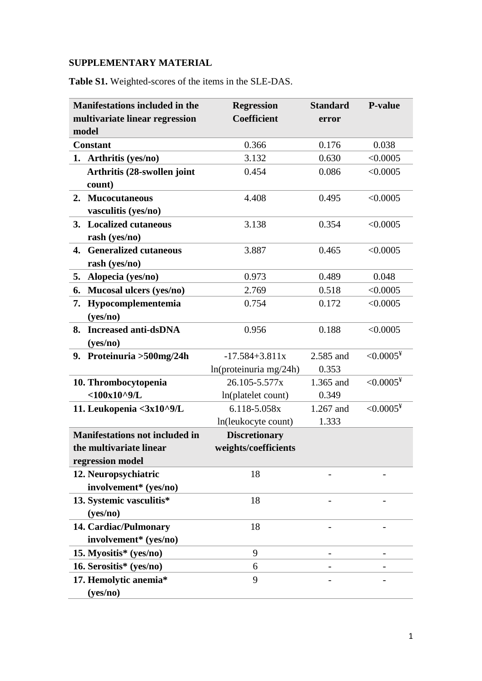## **SUPPLEMENTARY MATERIAL**

**Table S1.** Weighted-scores of the items in the SLE-DAS.

| <b>Manifestations included in the</b> | <b>Regression</b>    | <b>Standard</b> | <b>P-value</b> |
|---------------------------------------|----------------------|-----------------|----------------|
| multivariate linear regression        | <b>Coefficient</b>   | error           |                |
| model                                 |                      |                 |                |
| <b>Constant</b>                       | 0.366                | 0.176           | 0.038          |
| 1. Arthritis (yes/no)                 | 3.132                | 0.630           | < 0.0005       |
| Arthritis (28-swollen joint           | 0.454                | 0.086           | < 0.0005       |
| count)                                |                      |                 |                |
| <b>Mucocutaneous</b><br>2.            | 4.408                | 0.495           | < 0.0005       |
| vasculitis (yes/no)                   |                      |                 |                |
| 3. Localized cutaneous                | 3.138                | 0.354           | < 0.0005       |
| rash (yes/no)                         |                      |                 |                |
| 4. Generalized cutaneous              | 3.887                | 0.465           | < 0.0005       |
| rash (yes/no)                         |                      |                 |                |
| Alopecia (yes/no)<br>5.               | 0.973                | 0.489           | 0.048          |
| Mucosal ulcers (yes/no)<br>6.         | 2.769                | 0.518           | < 0.0005       |
| Hypocomplementemia<br>7.              | 0.754                | 0.172           | < 0.0005       |
| (yes/no)                              |                      |                 |                |
| <b>Increased anti-dsDNA</b><br>8.     | 0.956                | 0.188           | < 0.0005       |
| (yes/no)                              |                      |                 |                |
| 9. Proteinuria > 500 mg/24 h          | $-17.584 + 3.811x$   | 2.585 and       | $< 0.0005^*$   |
|                                       | ln(protein, mg/24h)  | 0.353           |                |
| 10. Thrombocytopenia                  | 26.105-5.577x        | 1.365 and       | $< 0.0005^*$   |
| $<$ 100x10^9/L                        | In(platelet count)   | 0.349           |                |
| 11. Leukopenia <3x10^9/L              | 6.118-5.058x         | 1.267 and       | $< 0.0005^*$   |
|                                       | ln(leukocyte count)  | 1.333           |                |
| <b>Manifestations not included in</b> | <b>Discretionary</b> |                 |                |
| the multivariate linear               | weights/coefficients |                 |                |
| regression model                      |                      |                 |                |
| 12. Neuropsychiatric                  | 18                   |                 |                |
| involvement* (yes/no)                 |                      |                 |                |
| 13. Systemic vasculitis*              | 18                   |                 |                |
| (yes/no)                              |                      |                 |                |
| 14. Cardiac/Pulmonary                 | 18                   |                 |                |
| involvement* (yes/no)                 |                      |                 |                |
| 15. Myositis* (yes/no)                | 9                    |                 |                |
| 16. Serositis* (yes/no)               | 6                    |                 |                |
| 17. Hemolytic anemia*                 | 9                    |                 |                |
| (yes/no)                              |                      |                 |                |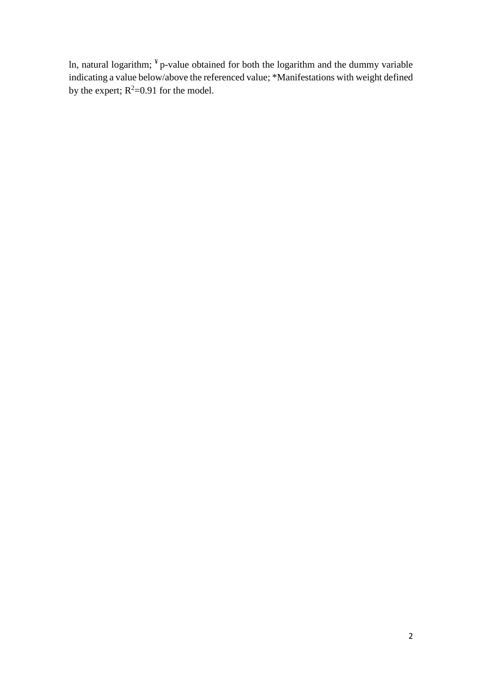In, natural logarithm;  $\frac{4}{3}$  p-value obtained for both the logarithm and the dummy variable indicating a value below/above the referenced value; \*Manifestations with weight defined by the expert;  $R^2=0.91$  for the model.